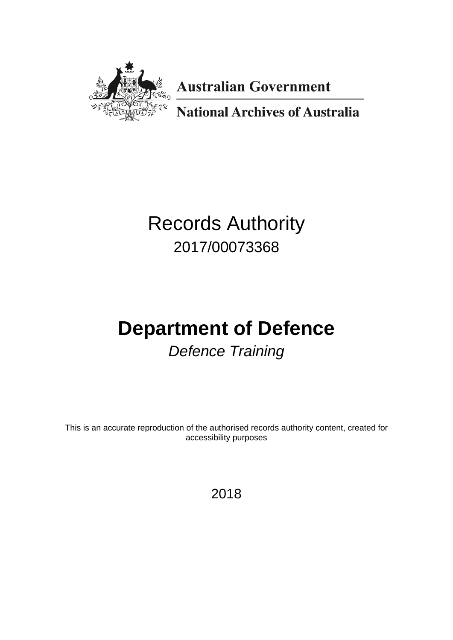

**Australian Government** 

**National Archives of Australia** 

# Records Authority 2017/00073368

# **Department of Defence** *Defence Training*

This is an accurate reproduction of the authorised records authority content, created for accessibility purposes

2018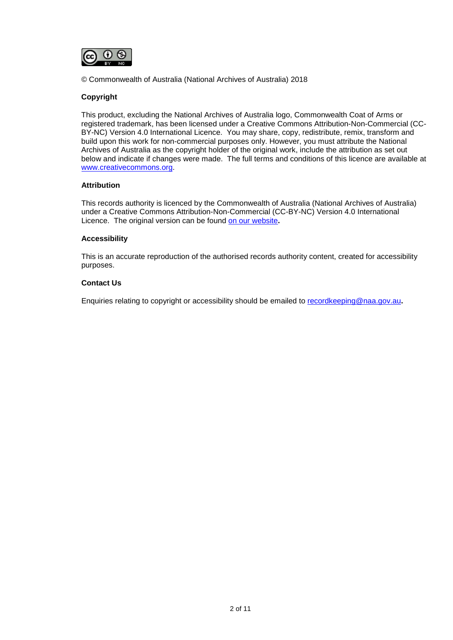

© Commonwealth of Australia (National Archives of Australia) 2018

#### **Copyright**

This product, excluding the National Archives of Australia logo, Commonwealth Coat of Arms or registered trademark, has been licensed under a Creative Commons Attribution-Non-Commercial (CC-BY-NC) Version 4.0 International Licence. You may share, copy, redistribute, remix, transform and build upon this work for non-commercial purposes only. However, you must attribute the National Archives of Australia as the copyright holder of the original work, include the attribution as set out below and indicate if changes were made. The full terms and conditions of this licence are available at [www.creativecommons.org.](http://www.creativecommons.org/)

#### **Attribution**

This records authority is licenced by the Commonwealth of Australia (National Archives of Australia) under a Creative Commons Attribution-Non-Commercial (CC-BY-NC) Version 4.0 International Licence. The original version can be found [on our website](http://www.naa.gov.au/)**.**

#### **Accessibility**

This is an accurate reproduction of the authorised records authority content, created for accessibility purposes.

#### **Contact Us**

Enquiries relating to copyright or accessibility should be emailed to [recordkeeping@naa.gov.au](mailto:recordkeeping@naa.gov.au)**.**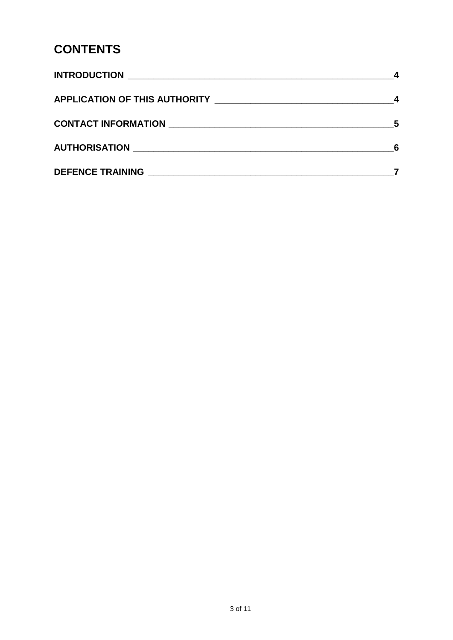### **CONTENTS**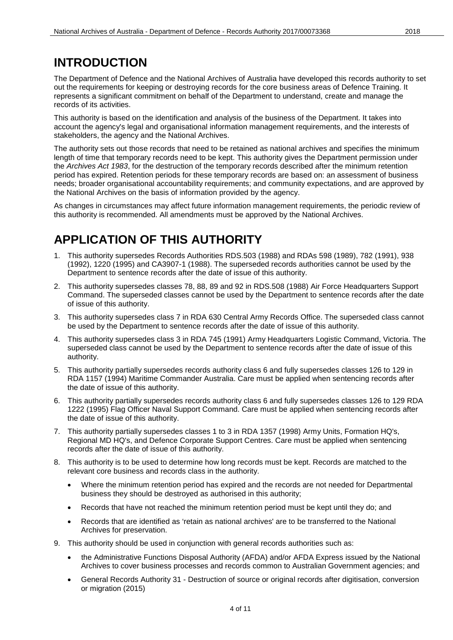### <span id="page-3-0"></span>**INTRODUCTION**

The Department of Defence and the National Archives of Australia have developed this records authority to set out the requirements for keeping or destroying records for the core business areas of Defence Training. It represents a significant commitment on behalf of the Department to understand, create and manage the records of its activities.

This authority is based on the identification and analysis of the business of the Department. It takes into account the agency's legal and organisational information management requirements, and the interests of stakeholders, the agency and the National Archives.

The authority sets out those records that need to be retained as national archives and specifies the minimum length of time that temporary records need to be kept. This authority gives the Department permission under the *Archives Act 1983*, for the destruction of the temporary records described after the minimum retention period has expired. Retention periods for these temporary records are based on: an assessment of business needs; broader organisational accountability requirements; and community expectations, and are approved by the National Archives on the basis of information provided by the agency.

As changes in circumstances may affect future information management requirements, the periodic review of this authority is recommended. All amendments must be approved by the National Archives.

### <span id="page-3-1"></span>**APPLICATION OF THIS AUTHORITY**

- 1. This authority supersedes Records Authorities RDS.503 (1988) and RDAs 598 (1989), 782 (1991), 938 (1992), 1220 (1995) and CA3907-1 (1988). The superseded records authorities cannot be used by the Department to sentence records after the date of issue of this authority.
- 2. This authority supersedes classes 78, 88, 89 and 92 in RDS.508 (1988) Air Force Headquarters Support Command. The superseded classes cannot be used by the Department to sentence records after the date of issue of this authority.
- 3. This authority supersedes class 7 in RDA 630 Central Army Records Office. The superseded class cannot be used by the Department to sentence records after the date of issue of this authority.
- 4. This authority supersedes class 3 in RDA 745 (1991) Army Headquarters Logistic Command, Victoria. The superseded class cannot be used by the Department to sentence records after the date of issue of this authority.
- 5. This authority partially supersedes records authority class 6 and fully supersedes classes 126 to 129 in RDA 1157 (1994) Maritime Commander Australia. Care must be applied when sentencing records after the date of issue of this authority.
- 6. This authority partially supersedes records authority class 6 and fully supersedes classes 126 to 129 RDA 1222 (1995) Flag Officer Naval Support Command. Care must be applied when sentencing records after the date of issue of this authority.
- 7. This authority partially supersedes classes 1 to 3 in RDA 1357 (1998) Army Units, Formation HQ's, Regional MD HQ's, and Defence Corporate Support Centres. Care must be applied when sentencing records after the date of issue of this authority.
- 8. This authority is to be used to determine how long records must be kept. Records are matched to the relevant core business and records class in the authority.
	- Where the minimum retention period has expired and the records are not needed for Departmental business they should be destroyed as authorised in this authority;
	- Records that have not reached the minimum retention period must be kept until they do; and
	- Records that are identified as 'retain as national archives' are to be transferred to the National Archives for preservation.
- 9. This authority should be used in conjunction with general records authorities such as:
	- the Administrative Functions Disposal Authority (AFDA) and/or AFDA Express issued by the National Archives to cover business processes and records common to Australian Government agencies; and
	- General Records Authority 31 Destruction of source or original records after digitisation, conversion or migration (2015)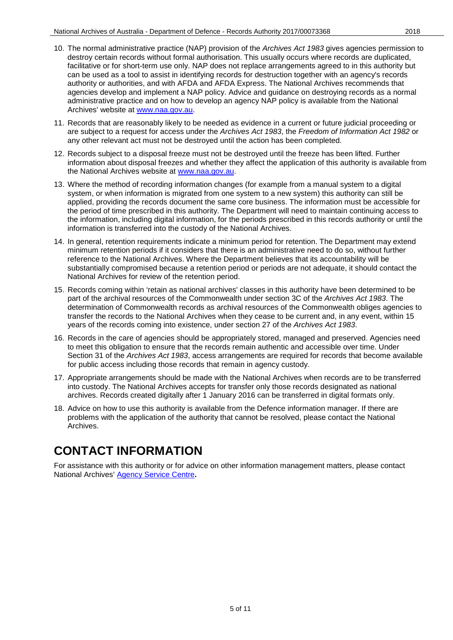- 
- 10. The normal administrative practice (NAP) provision of the *Archives Act 1983* gives agencies permission to destroy certain records without formal authorisation. This usually occurs where records are duplicated, facilitative or for short-term use only. NAP does not replace arrangements agreed to in this authority but can be used as a tool to assist in identifying records for destruction together with an agency's records authority or authorities, and with AFDA and AFDA Express. The National Archives recommends that agencies develop and implement a NAP policy. Advice and guidance on destroying records as a normal administrative practice and on how to develop an agency NAP policy is available from the National Archives' website at [www.naa.gov.au.](http://www.naa.gov.au/)
- 11. Records that are reasonably likely to be needed as evidence in a current or future judicial proceeding or are subject to a request for access under the *Archives Act 1983*, the *Freedom of Information Act 1982* or any other relevant act must not be destroyed until the action has been completed.
- 12. Records subject to a disposal freeze must not be destroyed until the freeze has been lifted. Further information about disposal freezes and whether they affect the application of this authority is available from the National Archives website at [www.naa.gov.au.](http://www.naa.gov.au/)
- 13. Where the method of recording information changes (for example from a manual system to a digital system, or when information is migrated from one system to a new system) this authority can still be applied, providing the records document the same core business. The information must be accessible for the period of time prescribed in this authority. The Department will need to maintain continuing access to the information, including digital information, for the periods prescribed in this records authority or until the information is transferred into the custody of the National Archives.
- 14. In general, retention requirements indicate a minimum period for retention. The Department may extend minimum retention periods if it considers that there is an administrative need to do so, without further reference to the National Archives. Where the Department believes that its accountability will be substantially compromised because a retention period or periods are not adequate, it should contact the National Archives for review of the retention period.
- 15. Records coming within 'retain as national archives' classes in this authority have been determined to be part of the archival resources of the Commonwealth under section 3C of the *Archives Act 1983*. The determination of Commonwealth records as archival resources of the Commonwealth obliges agencies to transfer the records to the National Archives when they cease to be current and, in any event, within 15 years of the records coming into existence, under section 27 of the *Archives Act 1983*.
- 16. Records in the care of agencies should be appropriately stored, managed and preserved. Agencies need to meet this obligation to ensure that the records remain authentic and accessible over time. Under Section 31 of the *Archives Act 1983*, access arrangements are required for records that become available for public access including those records that remain in agency custody.
- 17. Appropriate arrangements should be made with the National Archives when records are to be transferred into custody. The National Archives accepts for transfer only those records designated as national archives. Records created digitally after 1 January 2016 can be transferred in digital formats only.
- 18. Advice on how to use this authority is available from the Defence information manager. If there are problems with the application of the authority that cannot be resolved, please contact the National Archives.

# <span id="page-4-0"></span>**CONTACT INFORMATION**

For assistance with this authority or for advice on other information management matters, please contact National Archives' [Agency Service Centre](http://reftracker.naa.gov.au/reft000.aspx?pmi=jpGkKEm4vT)**.**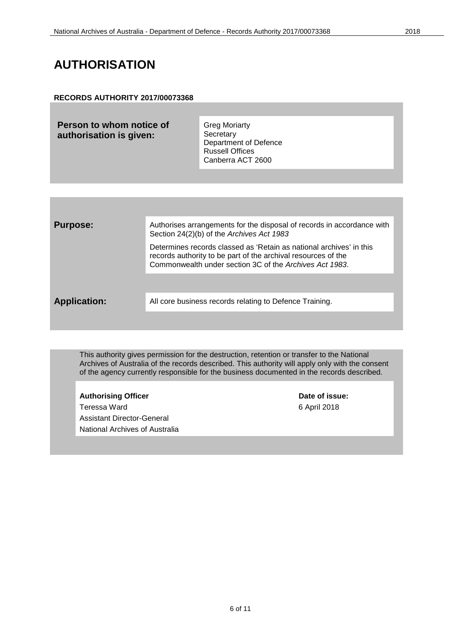### <span id="page-5-0"></span>**AUTHORISATION**

#### **RECORDS AUTHORITY 2017/00073368**

**Person to whom notice of authorisation is given:**

Greg Moriarty **Secretary** Department of Defence Russell Offices Canberra ACT 2600

| <b>Purpose:</b>     | Authorises arrangements for the disposal of records in accordance with<br>Section 24(2)(b) of the Archives Act 1983                                                                             |
|---------------------|-------------------------------------------------------------------------------------------------------------------------------------------------------------------------------------------------|
|                     | Determines records classed as 'Retain as national archives' in this<br>records authority to be part of the archival resources of the<br>Commonwealth under section 3C of the Archives Act 1983. |
|                     |                                                                                                                                                                                                 |
| <b>Application:</b> | All core business records relating to Defence Training.                                                                                                                                         |
|                     |                                                                                                                                                                                                 |

This authority gives permission for the destruction, retention or transfer to the National Archives of Australia of the records described. This authority will apply only with the consent of the agency currently responsible for the business documented in the records described.

Authorising Officer **Contract Contract Contract Contract Contract Contract Contract Contract Contract Contract Contract Contract Contract Contract Contract Contract Contract Contract Contract Contract Contract Contract Con** Teressa Ward **6 April 2018** Assistant Director-General National Archives of Australia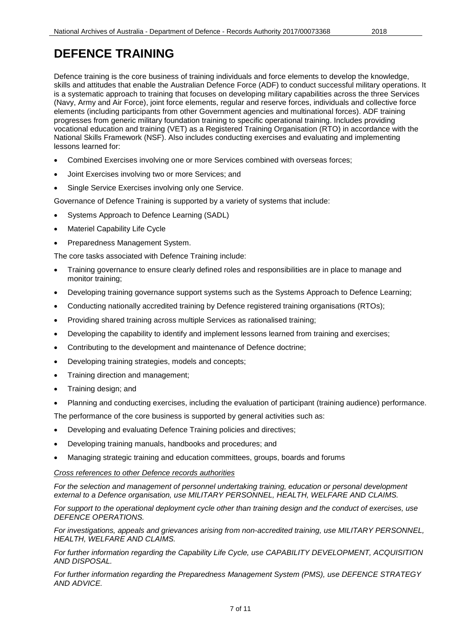<span id="page-6-0"></span>Defence training is the core business of training individuals and force elements to develop the knowledge, skills and attitudes that enable the Australian Defence Force (ADF) to conduct successful military operations. It is a systematic approach to training that focuses on developing military capabilities across the three Services (Navy, Army and Air Force), joint force elements, regular and reserve forces, individuals and collective force elements (including participants from other Government agencies and multinational forces). ADF training progresses from generic military foundation training to specific operational training. Includes providing vocational education and training (VET) as a Registered Training Organisation (RTO) in accordance with the National Skills Framework (NSF). Also includes conducting exercises and evaluating and implementing lessons learned for:

- Combined Exercises involving one or more Services combined with overseas forces;
- Joint Exercises involving two or more Services; and
- Single Service Exercises involving only one Service.

Governance of Defence Training is supported by a variety of systems that include:

- Systems Approach to Defence Learning (SADL)
- **Materiel Capability Life Cycle**
- Preparedness Management System.

The core tasks associated with Defence Training include:

- Training governance to ensure clearly defined roles and responsibilities are in place to manage and monitor training;
- Developing training governance support systems such as the Systems Approach to Defence Learning;
- Conducting nationally accredited training by Defence registered training organisations (RTOs);
- Providing shared training across multiple Services as rationalised training;
- Developing the capability to identify and implement lessons learned from training and exercises;
- Contributing to the development and maintenance of Defence doctrine;
- Developing training strategies, models and concepts;
- Training direction and management;
- Training design; and
- Planning and conducting exercises, including the evaluation of participant (training audience) performance.

The performance of the core business is supported by general activities such as:

- Developing and evaluating Defence Training policies and directives;
- Developing training manuals, handbooks and procedures; and
- Managing strategic training and education committees, groups, boards and forums

#### *Cross references to other Defence records authorities*

*For the selection and management of personnel undertaking training, education or personal development external to a Defence organisation, use MILITARY PERSONNEL, HEALTH, WELFARE AND CLAIMS.*

*For support to the operational deployment cycle other than training design and the conduct of exercises, use DEFENCE OPERATIONS.*

*For investigations, appeals and grievances arising from non-accredited training, use MILITARY PERSONNEL, HEALTH, WELFARE AND CLAIMS.*

*For further information regarding the Capability Life Cycle, use CAPABILITY DEVELOPMENT, ACQUISITION AND DISPOSAL.*

*For further information regarding the Preparedness Management System (PMS), use DEFENCE STRATEGY AND ADVICE.*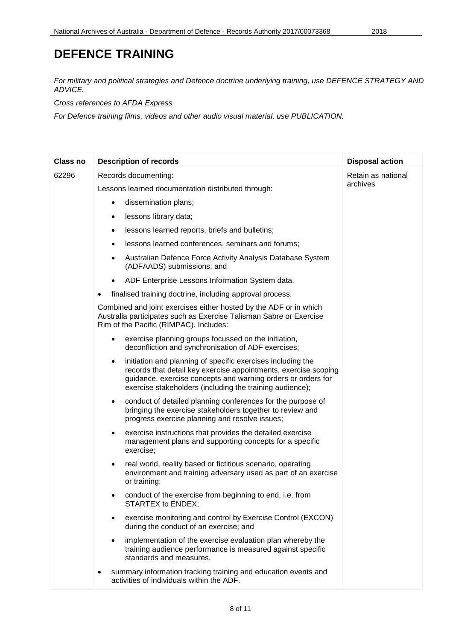*For military and political strategies and Defence doctrine underlying training, use DEFENCE STRATEGY AND ADVICE.*

*Cross references to AFDA Express*

*For Defence training films, videos and other audio visual material, use PUBLICATION.*

| <b>Class no</b> | <b>Description of records</b>                                                                                                                                                                                                                                   | <b>Disposal action</b> |
|-----------------|-----------------------------------------------------------------------------------------------------------------------------------------------------------------------------------------------------------------------------------------------------------------|------------------------|
| 62296           | Records documenting:                                                                                                                                                                                                                                            | Retain as national     |
|                 | Lessons learned documentation distributed through:                                                                                                                                                                                                              | archives               |
|                 | dissemination plans;<br>$\bullet$                                                                                                                                                                                                                               |                        |
|                 | lessons library data;                                                                                                                                                                                                                                           |                        |
|                 | lessons learned reports, briefs and bulletins;<br>٠                                                                                                                                                                                                             |                        |
|                 | lessons learned conferences, seminars and forums;<br>$\bullet$                                                                                                                                                                                                  |                        |
|                 | Australian Defence Force Activity Analysis Database System<br>٠<br>(ADFAADS) submissions; and                                                                                                                                                                   |                        |
|                 | ADF Enterprise Lessons Information System data.<br>$\bullet$                                                                                                                                                                                                    |                        |
|                 | finalised training doctrine, including approval process.                                                                                                                                                                                                        |                        |
|                 | Combined and joint exercises either hosted by the ADF or in which<br>Australia participates such as Exercise Talisman Sabre or Exercise<br>Rim of the Pacific (RIMPAC). Includes:                                                                               |                        |
|                 | exercise planning groups focussed on the initiation,<br>$\bullet$<br>deconfliction and synchronisation of ADF exercises;                                                                                                                                        |                        |
|                 | initiation and planning of specific exercises including the<br>٠<br>records that detail key exercise appointments, exercise scoping<br>guidance, exercise concepts and warning orders or orders for<br>exercise stakeholders (including the training audience); |                        |
|                 | conduct of detailed planning conferences for the purpose of<br>$\bullet$<br>bringing the exercise stakeholders together to review and<br>progress exercise planning and resolve issues;                                                                         |                        |
|                 | exercise instructions that provides the detailed exercise<br>$\bullet$<br>management plans and supporting concepts for a specific<br>exercise;                                                                                                                  |                        |
|                 | real world, reality based or fictitious scenario, operating<br>٠<br>environment and training adversary used as part of an exercise<br>or training;                                                                                                              |                        |
|                 | conduct of the exercise from beginning to end, i.e. from<br>٠<br>STARTEX to ENDEX;                                                                                                                                                                              |                        |
|                 | exercise monitoring and control by Exercise Control (EXCON)<br>٠<br>during the conduct of an exercise; and                                                                                                                                                      |                        |
|                 | implementation of the exercise evaluation plan whereby the<br>$\bullet$<br>training audience performance is measured against specific<br>standards and measures.                                                                                                |                        |
|                 | summary information tracking training and education events and<br>activities of individuals within the ADF.                                                                                                                                                     |                        |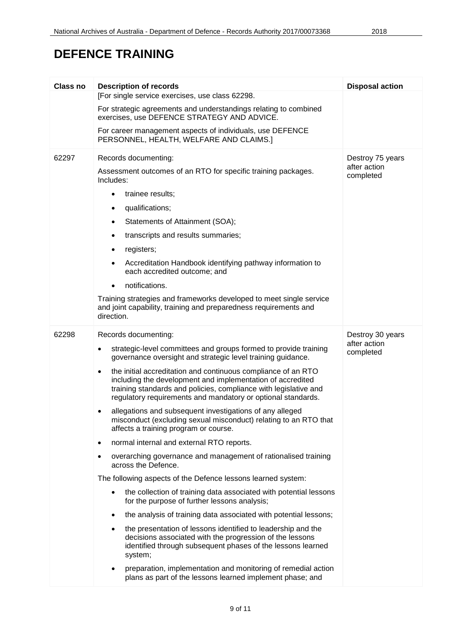| Class no | <b>Description of records</b>                                                                                                                                                                                                                                                | <b>Disposal action</b>    |
|----------|------------------------------------------------------------------------------------------------------------------------------------------------------------------------------------------------------------------------------------------------------------------------------|---------------------------|
|          | [For single service exercises, use class 62298.                                                                                                                                                                                                                              |                           |
|          | For strategic agreements and understandings relating to combined<br>exercises, use DEFENCE STRATEGY AND ADVICE.                                                                                                                                                              |                           |
|          | For career management aspects of individuals, use DEFENCE<br>PERSONNEL, HEALTH, WELFARE AND CLAIMS.]                                                                                                                                                                         |                           |
| 62297    | Records documenting:                                                                                                                                                                                                                                                         | Destroy 75 years          |
|          | Assessment outcomes of an RTO for specific training packages.<br>Includes:                                                                                                                                                                                                   | after action<br>completed |
|          | trainee results;<br>$\bullet$                                                                                                                                                                                                                                                |                           |
|          | qualifications;<br>٠                                                                                                                                                                                                                                                         |                           |
|          | Statements of Attainment (SOA);<br>٠                                                                                                                                                                                                                                         |                           |
|          | transcripts and results summaries;<br>٠                                                                                                                                                                                                                                      |                           |
|          | registers;<br>٠                                                                                                                                                                                                                                                              |                           |
|          | Accreditation Handbook identifying pathway information to<br>٠<br>each accredited outcome; and                                                                                                                                                                               |                           |
|          | notifications.<br>$\bullet$                                                                                                                                                                                                                                                  |                           |
|          | Training strategies and frameworks developed to meet single service<br>and joint capability, training and preparedness requirements and<br>direction.                                                                                                                        |                           |
| 62298    | Records documenting:                                                                                                                                                                                                                                                         | Destroy 30 years          |
|          | strategic-level committees and groups formed to provide training<br>governance oversight and strategic level training guidance.                                                                                                                                              | after action<br>completed |
|          | the initial accreditation and continuous compliance of an RTO<br>$\bullet$<br>including the development and implementation of accredited<br>training standards and policies, compliance with legislative and<br>regulatory requirements and mandatory or optional standards. |                           |
|          | allegations and subsequent investigations of any alleged<br>misconduct (excluding sexual misconduct) relating to an RTO that<br>affects a training program or course.                                                                                                        |                           |
|          | normal internal and external RTO reports.<br>$\bullet$                                                                                                                                                                                                                       |                           |
|          | overarching governance and management of rationalised training<br>$\bullet$<br>across the Defence.                                                                                                                                                                           |                           |
|          | The following aspects of the Defence lessons learned system:                                                                                                                                                                                                                 |                           |
|          | the collection of training data associated with potential lessons<br>$\bullet$<br>for the purpose of further lessons analysis;                                                                                                                                               |                           |
|          | the analysis of training data associated with potential lessons;<br>$\bullet$                                                                                                                                                                                                |                           |
|          | the presentation of lessons identified to leadership and the<br>$\bullet$<br>decisions associated with the progression of the lessons<br>identified through subsequent phases of the lessons learned<br>system;                                                              |                           |
|          | preparation, implementation and monitoring of remedial action<br>plans as part of the lessons learned implement phase; and                                                                                                                                                   |                           |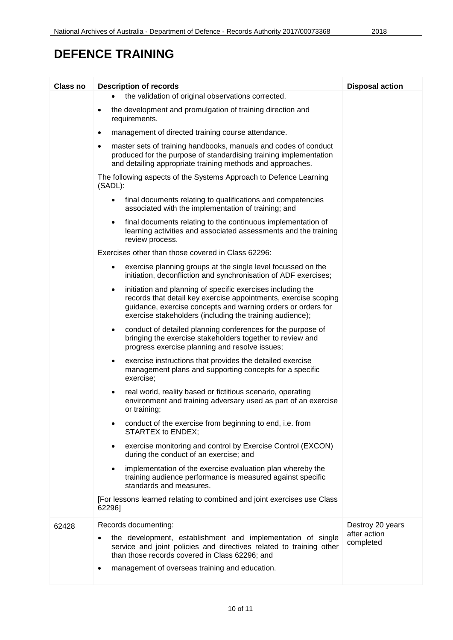| <b>Class no</b> | <b>Description of records</b>                                                                                                                                                                                                                                   | <b>Disposal action</b>    |
|-----------------|-----------------------------------------------------------------------------------------------------------------------------------------------------------------------------------------------------------------------------------------------------------------|---------------------------|
|                 | the validation of original observations corrected.                                                                                                                                                                                                              |                           |
|                 | the development and promulgation of training direction and<br>requirements.                                                                                                                                                                                     |                           |
|                 | management of directed training course attendance.<br>$\bullet$                                                                                                                                                                                                 |                           |
|                 | master sets of training handbooks, manuals and codes of conduct<br>$\bullet$<br>produced for the purpose of standardising training implementation<br>and detailing appropriate training methods and approaches.                                                 |                           |
|                 | The following aspects of the Systems Approach to Defence Learning<br>(SADL):                                                                                                                                                                                    |                           |
|                 | final documents relating to qualifications and competencies<br>$\bullet$<br>associated with the implementation of training; and                                                                                                                                 |                           |
|                 | final documents relating to the continuous implementation of<br>$\bullet$<br>learning activities and associated assessments and the training<br>review process.                                                                                                 |                           |
|                 | Exercises other than those covered in Class 62296:                                                                                                                                                                                                              |                           |
|                 | exercise planning groups at the single level focussed on the<br>$\bullet$<br>initiation, deconfliction and synchronisation of ADF exercises;                                                                                                                    |                           |
|                 | initiation and planning of specific exercises including the<br>٠<br>records that detail key exercise appointments, exercise scoping<br>guidance, exercise concepts and warning orders or orders for<br>exercise stakeholders (including the training audience); |                           |
|                 | conduct of detailed planning conferences for the purpose of<br>٠<br>bringing the exercise stakeholders together to review and<br>progress exercise planning and resolve issues;                                                                                 |                           |
|                 | exercise instructions that provides the detailed exercise<br>٠<br>management plans and supporting concepts for a specific<br>exercise;                                                                                                                          |                           |
|                 | real world, reality based or fictitious scenario, operating<br>$\bullet$<br>environment and training adversary used as part of an exercise<br>or training;                                                                                                      |                           |
|                 | conduct of the exercise from beginning to end, i.e. from<br>STARTEX to ENDEX;                                                                                                                                                                                   |                           |
|                 | exercise monitoring and control by Exercise Control (EXCON)<br>$\bullet$<br>during the conduct of an exercise; and                                                                                                                                              |                           |
|                 | implementation of the exercise evaluation plan whereby the<br>$\bullet$<br>training audience performance is measured against specific<br>standards and measures.                                                                                                |                           |
|                 | [For lessons learned relating to combined and joint exercises use Class<br>62296]                                                                                                                                                                               |                           |
| 62428           | Records documenting:                                                                                                                                                                                                                                            | Destroy 20 years          |
|                 | the development, establishment and implementation of single<br>service and joint policies and directives related to training other<br>than those records covered in Class 62296; and                                                                            | after action<br>completed |
|                 | management of overseas training and education.                                                                                                                                                                                                                  |                           |